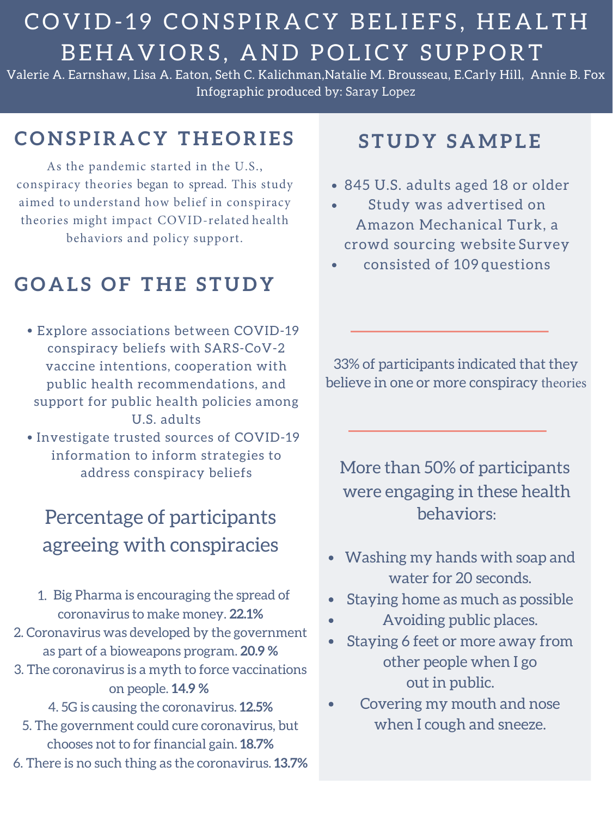# COVID-19 CONSPIRACY BELIEFS, HEALTH BEHAVIORS, AND POLICY SUPPORT

Valerie A. Earnshaw, Lisa A. Eaton, Seth C. Kalichman,Natalie M. Brousseau, E.Carly Hill, Annie B. Fox Infographic produced by: Saray Lopez

- 845 U.S. adults aged 18 or older
- Study was advertised on Amazon Mechanical Turk, a crowd sourcing website Survey
- consisted of 109 questions

#### **S T U D Y S A M P L E**

• Investigate trusted sources of COVID-19 information to inform strategies to address conspiracy beliefs

Explore associations between COVID-19 conspiracy beliefs with SARS-CoV-2 vaccine intentions, cooperation with public health recommendations, and support for public health policies among U.S. adults

#### **C O N S P I R A C Y T H E O R I E S**

1. Big Pharma is encouraging the spread of coronavirus to make money. **22.1%** 2. Coronavirus was developed by the government as part of a bioweapons program. **20.9 %** 3. The coronavirus is a myth to force vaccinations on people. **14.9 %**  4. 5G is causing the coronavirus. **12.5%** 5. The government could cure coronavirus, but chooses not to for financial gain. **18.7%** 6. There is no such thing as the coronavirus. **13.7%**

As the pandemic started in the U.S., conspiracy theories began to spread. This study aimed to understand how belief in conspiracy theories might impact COVID-related health behaviors and policy support.

### **G O A L S O F T H E S T U D Y**

33% of participants indicated that they believe in one or more conspiracy theories

### Percentage of participants agreeing with conspiracies

- Washing my hands with soap and water for 20 seconds.
- Staying home as much as possible
- Avoiding public places.
- Staying 6 feet or more away from  $\bullet$ other people when I go out in public.
- Covering my mouth and nose  $\bullet$ when I cough and sneeze.

More than 50% of participants were engaging in these health behaviors: